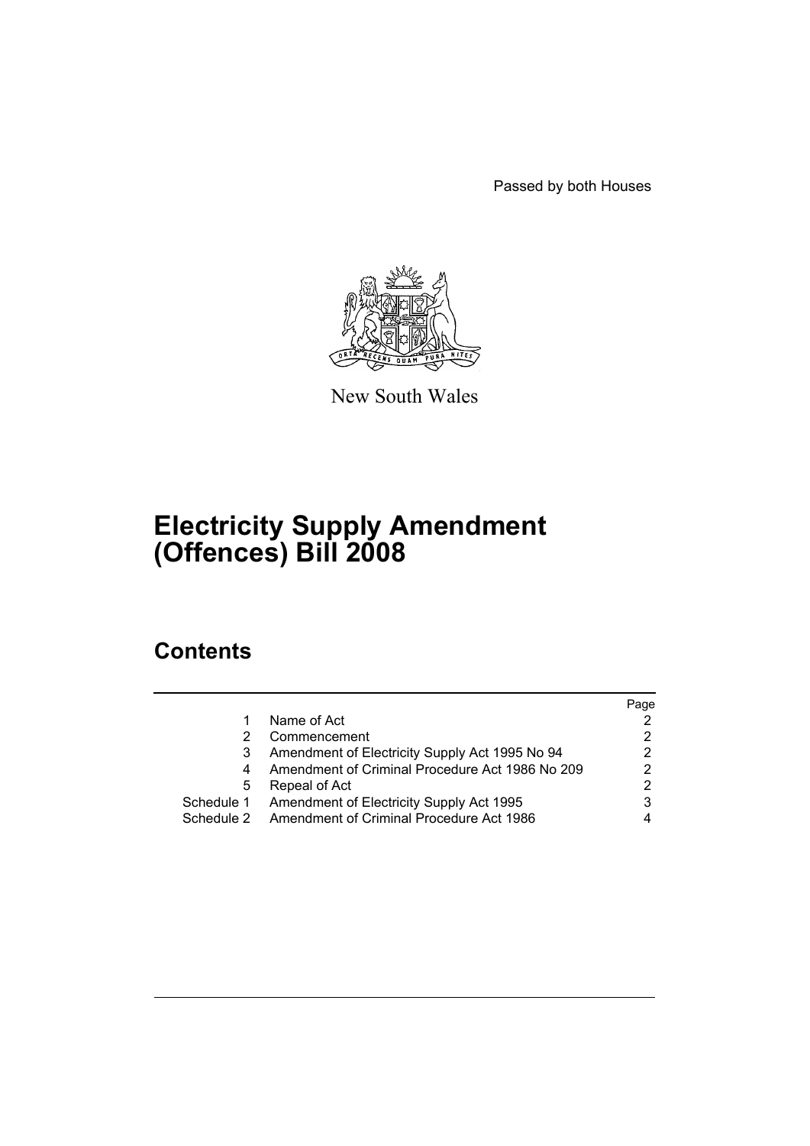Passed by both Houses



New South Wales

# **Electricity Supply Amendment (Offences) Bill 2008**

## **Contents**

|            |                                                 | Page |
|------------|-------------------------------------------------|------|
|            | Name of Act                                     |      |
|            | Commencement                                    |      |
|            | Amendment of Electricity Supply Act 1995 No 94  |      |
| 4          | Amendment of Criminal Procedure Act 1986 No 209 | 2    |
| 5          | Repeal of Act                                   | 2    |
| Schedule 1 | Amendment of Electricity Supply Act 1995        |      |
| Schedule 2 | Amendment of Criminal Procedure Act 1986        |      |
|            |                                                 |      |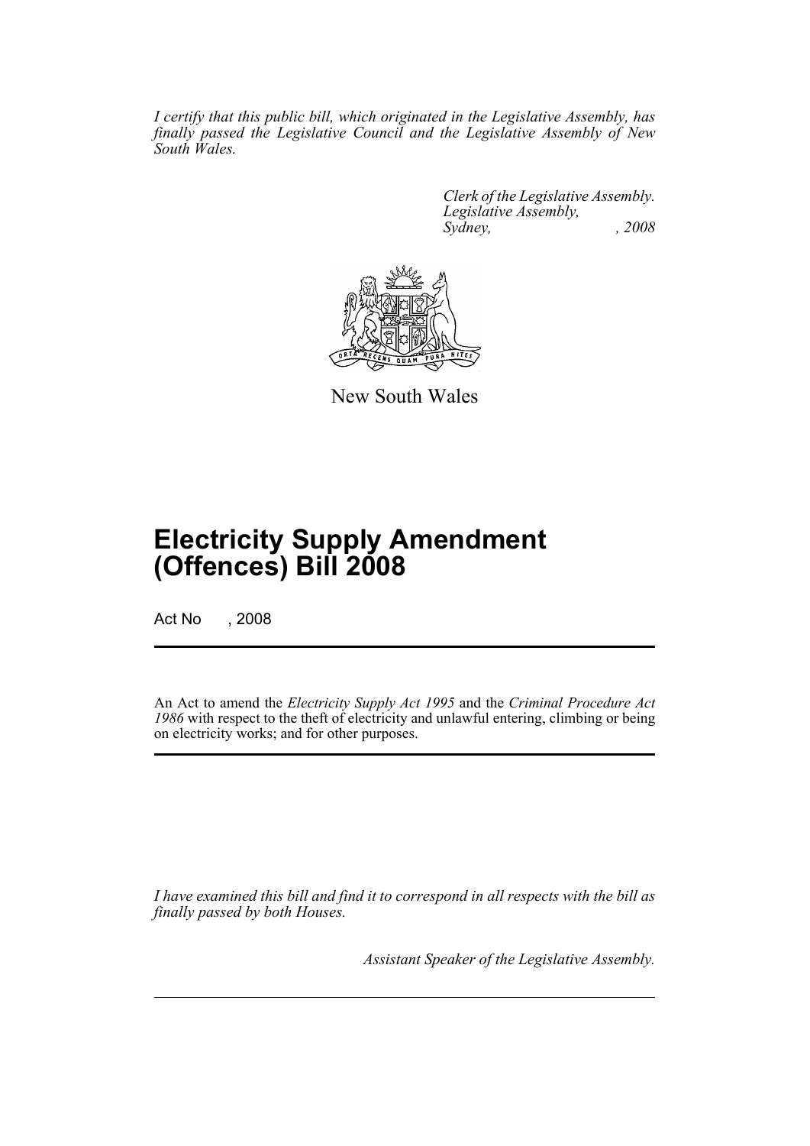*I certify that this public bill, which originated in the Legislative Assembly, has finally passed the Legislative Council and the Legislative Assembly of New South Wales.*

> *Clerk of the Legislative Assembly. Legislative Assembly, Sydney, , 2008*



New South Wales

# **Electricity Supply Amendment (Offences) Bill 2008**

Act No , 2008

An Act to amend the *Electricity Supply Act 1995* and the *Criminal Procedure Act 1986* with respect to the theft of electricity and unlawful entering, climbing or being on electricity works; and for other purposes.

*I have examined this bill and find it to correspond in all respects with the bill as finally passed by both Houses.*

*Assistant Speaker of the Legislative Assembly.*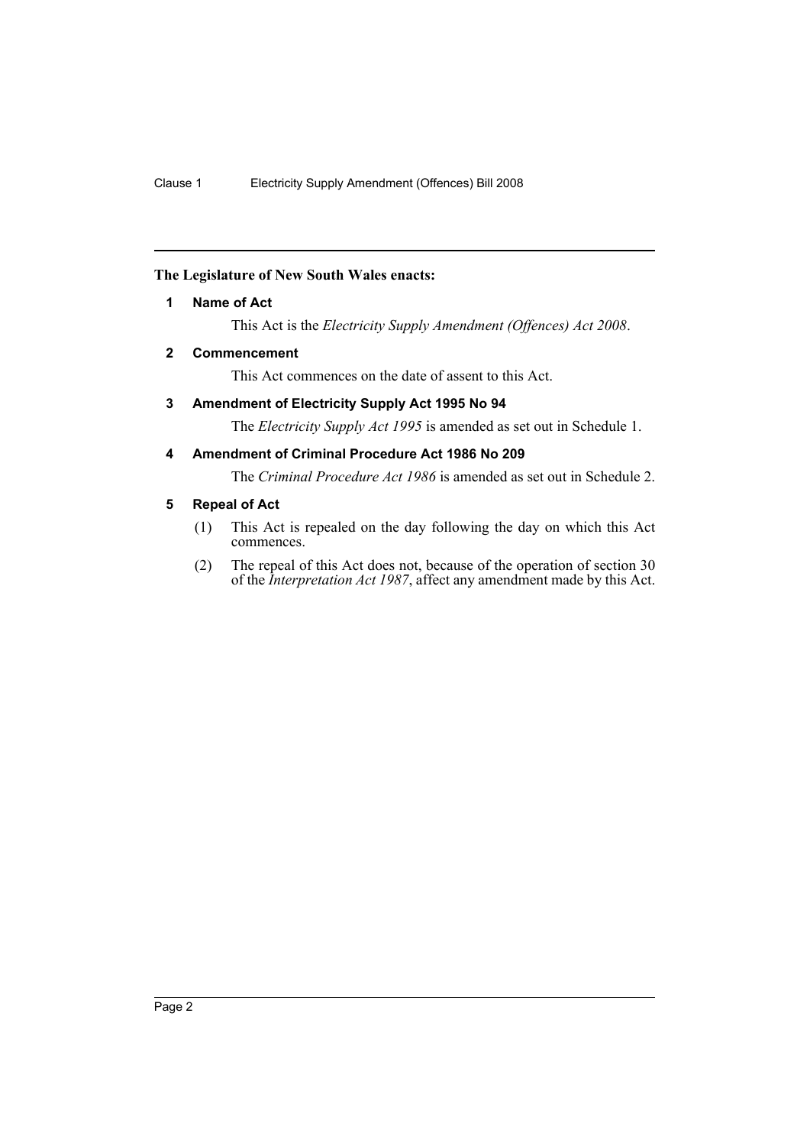### <span id="page-2-0"></span>**The Legislature of New South Wales enacts:**

### **1 Name of Act**

This Act is the *Electricity Supply Amendment (Offences) Act 2008*.

### <span id="page-2-1"></span>**2 Commencement**

This Act commences on the date of assent to this Act.

### <span id="page-2-2"></span>**3 Amendment of Electricity Supply Act 1995 No 94**

The *Electricity Supply Act 1995* is amended as set out in Schedule 1.

### <span id="page-2-3"></span>**4 Amendment of Criminal Procedure Act 1986 No 209**

The *Criminal Procedure Act 1986* is amended as set out in Schedule 2.

### <span id="page-2-4"></span>**5 Repeal of Act**

- (1) This Act is repealed on the day following the day on which this Act commences.
- (2) The repeal of this Act does not, because of the operation of section 30 of the *Interpretation Act 1987*, affect any amendment made by this Act.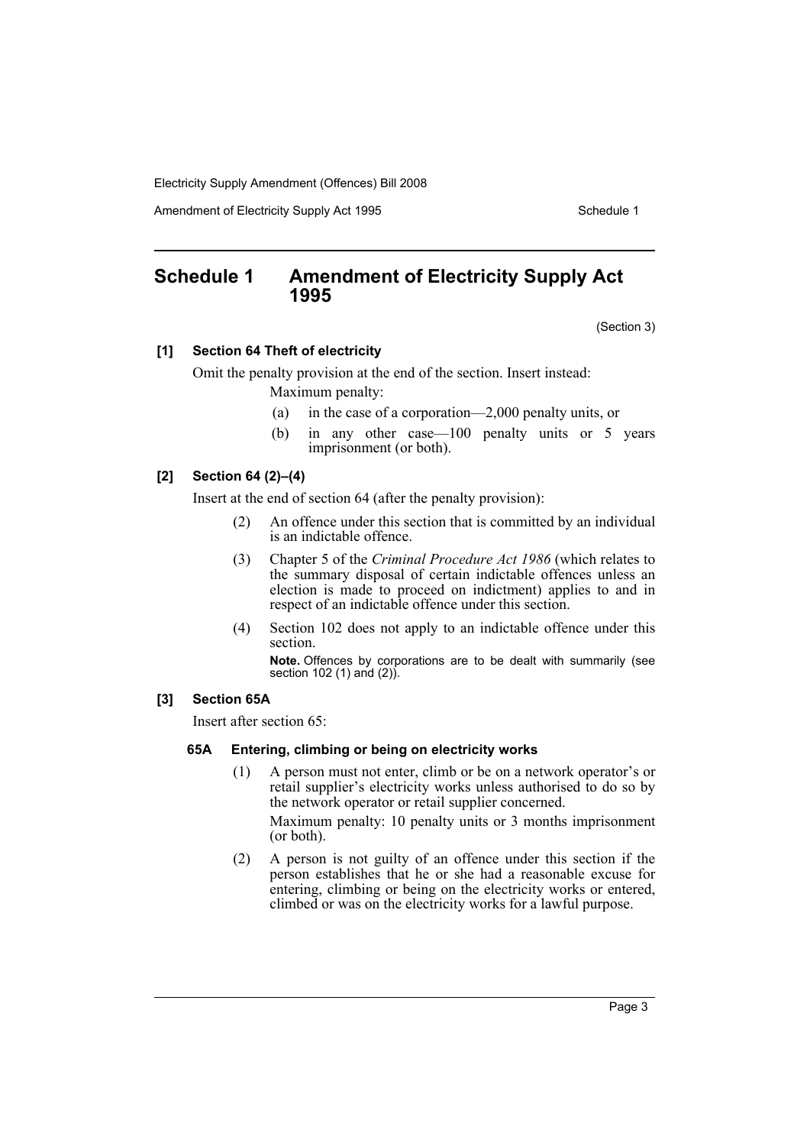Electricity Supply Amendment (Offences) Bill 2008

Amendment of Electricity Supply Act 1995 Schedule 1

### <span id="page-3-0"></span>**Schedule 1 Amendment of Electricity Supply Act 1995**

(Section 3)

### **[1] Section 64 Theft of electricity**

Omit the penalty provision at the end of the section. Insert instead: Maximum penalty:

- (a) in the case of a corporation—2,000 penalty units, or
- (b) in any other case—100 penalty units or 5 years imprisonment (or both).

### **[2] Section 64 (2)–(4)**

Insert at the end of section 64 (after the penalty provision):

- (2) An offence under this section that is committed by an individual is an indictable offence.
- (3) Chapter 5 of the *Criminal Procedure Act 1986* (which relates to the summary disposal of certain indictable offences unless an election is made to proceed on indictment) applies to and in respect of an indictable offence under this section.
- (4) Section 102 does not apply to an indictable offence under this section.

**Note.** Offences by corporations are to be dealt with summarily (see section 102 (1) and (2)).

#### **[3] Section 65A**

Insert after section 65:

### **65A Entering, climbing or being on electricity works**

(1) A person must not enter, climb or be on a network operator's or retail supplier's electricity works unless authorised to do so by the network operator or retail supplier concerned.

Maximum penalty: 10 penalty units or 3 months imprisonment (or both).

(2) A person is not guilty of an offence under this section if the person establishes that he or she had a reasonable excuse for entering, climbing or being on the electricity works or entered, climbed or was on the electricity works for a lawful purpose.